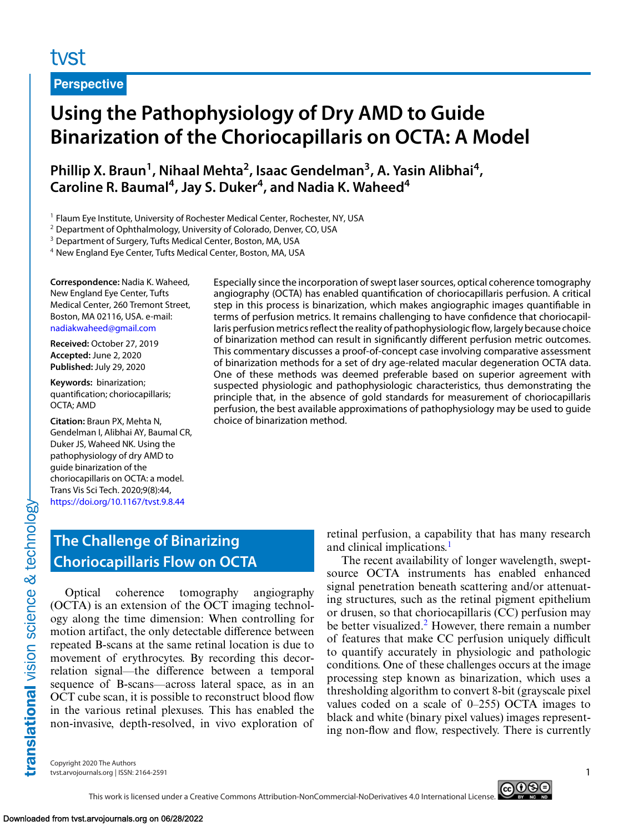## tyst

**Perspective**

# **Using the Pathophysiology of Dry AMD to Guide Binarization of the Choriocapillaris on OCTA: A Model**

Phillip X. Braun<sup>1</sup>, Nihaal Mehta<sup>2</sup>, Isaac Gendelman<sup>3</sup>, A. Yasin Alibhai<sup>4</sup>, Caroline R. Baumal<sup>4</sup>, Jay S. Duker<sup>4</sup>, and Nadia K. Waheed<sup>4</sup>

<sup>1</sup> Flaum Eye Institute, University of Rochester Medical Center, Rochester, NY, USA

<sup>2</sup> Department of Ophthalmology, University of Colorado, Denver, CO, USA

<sup>3</sup> Department of Surgery, Tufts Medical Center, Boston, MA, USA

<sup>4</sup> New England Eye Center, Tufts Medical Center, Boston, MA, USA

**Correspondence:** Nadia K. Waheed, New England Eye Center, Tufts Medical Center, 260 Tremont Street, Boston, MA 02116, USA. e-mail: [nadiakwaheed@gmail.com](mailto:nadiakwaheed@gmail.com)

**Received:** October 27, 2019 **Accepted:** June 2, 2020 **Published:** July 29, 2020

**Keywords:** binarization; quantification; choriocapillaris; OCTA; AMD

**Citation:** Braun PX, Mehta N, Gendelman I, Alibhai AY, Baumal CR, Duker JS, Waheed NK. Using the pathophysiology of dry AMD to guide binarization of the choriocapillaris on OCTA: a model. Trans Vis Sci Tech. 2020;9(8):44, <https://doi.org/10.1167/tvst.9.8.44>

Especially since the incorporation of swept laser sources, optical coherence tomography angiography (OCTA) has enabled quantification of choriocapillaris perfusion. A critical step in this process is binarization, which makes angiographic images quantifiable in terms of perfusion metrics. It remains challenging to have confidence that choriocapillaris perfusion metrics reflect the reality of pathophysiologic flow, largely because choice of binarization method can result in significantly different perfusion metric outcomes. This commentary discusses a proof-of-concept case involving comparative assessment of binarization methods for a set of dry age-related macular degeneration OCTA data. One of these methods was deemed preferable based on superior agreement with suspected physiologic and pathophysiologic characteristics, thus demonstrating the principle that, in the absence of gold standards for measurement of choriocapillaris perfusion, the best available approximations of pathophysiology may be used to guide choice of binarization method.

## **The Challenge of Binarizing Choriocapillaris Flow on OCTA**

Optical coherence tomography angiography (OCTA) is an extension of the OCT imaging technology along the time dimension: When controlling for motion artifact, the only detectable difference between repeated B-scans at the same retinal location is due to movement of erythrocytes. By recording this decorrelation signal—the difference between a temporal sequence of B-scans—across lateral space, as in an OCT cube scan, it is possible to reconstruct blood flow in the various retinal plexuses. This has enabled the non-invasive, depth-resolved, in vivo exploration of

retinal perfusion, a capability that has many research and clinical implications.<sup>[1](#page-5-0)</sup>

The recent availability of longer wavelength, sweptsource OCTA instruments has enabled enhanced signal penetration beneath scattering and/or attenuating structures, such as the retinal pigment epithelium or drusen, so that choriocapillaris (CC) perfusion may be better visualized.<sup>2</sup> However, there remain a number of features that make CC perfusion uniquely difficult to quantify accurately in physiologic and pathologic conditions. One of these challenges occurs at the image processing step known as binarization, which uses a thresholding algorithm to convert 8-bit (grayscale pixel values coded on a scale of 0–255) OCTA images to black and white (binary pixel values) images representing non-flow and flow, respectively. There is currently

Copyright 2020 The Authors tvst.arvojournals.org | ISSN: 2164-2591 1

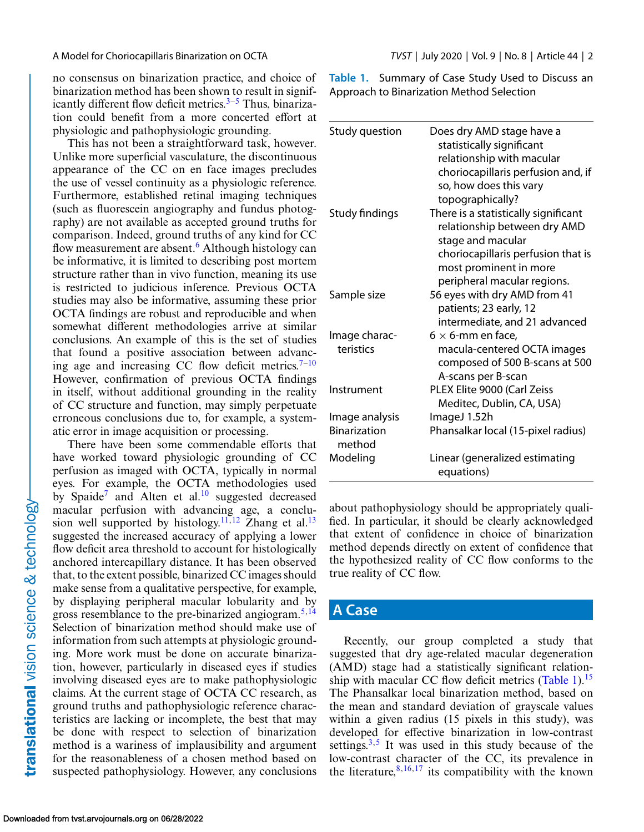#### A Model for Choriocapillaris Binarization on OCTA *TVST* | July 2020 | Vol. 9 | No. 8 | Article 44 | 2

no consensus on binarization practice, and choice of binarization method has been shown to result in significantly different flow deficit metrics. $3-5$  Thus, binarization could benefit from a more concerted effort at physiologic and pathophysiologic grounding.

This has not been a straightforward task, however. Unlike more superficial vasculature, the discontinuous appearance of the CC on en face images precludes the use of vessel continuity as a physiologic reference. Furthermore, established retinal imaging techniques (such as fluorescein angiography and fundus photography) are not available as accepted ground truths for comparison. Indeed, ground truths of any kind for CC flow measurement are absent.<sup>[6](#page-5-0)</sup> Although histology can be informative, it is limited to describing post mortem structure rather than in vivo function, meaning its use is restricted to judicious inference. Previous OCTA studies may also be informative, assuming these prior OCTA findings are robust and reproducible and when somewhat different methodologies arrive at similar conclusions. An example of this is the set of studies that found a positive association between advanc-ing age and increasing CC flow deficit metrics.<sup>[7–10](#page-5-0)</sup> However, confirmation of previous OCTA findings in itself, without additional grounding in the reality of CC structure and function, may simply perpetuate erroneous conclusions due to, for example, a systematic error in image acquisition or processing.

There have been some commendable efforts that have worked toward physiologic grounding of CC perfusion as imaged with OCTA, typically in normal eyes. For example, the OCTA methodologies used by Spaide<sup>7</sup> and Alten et al.<sup>[10](#page-5-0)</sup> suggested decreased macular perfusion with advancing age, a conclu-sion well supported by histology.<sup>11,12</sup> Zhang et al.<sup>[13](#page-5-0)</sup> suggested the increased accuracy of applying a lower flow deficit area threshold to account for histologically anchored intercapillary distance. It has been observed that, to the extent possible, binarized CC images should make sense from a qualitative perspective, for example, by displaying peripheral macular lobularity and by gross resemblance to the pre-binarized angiogram.<sup>[5,14](#page-5-0)</sup> Selection of binarization method should make use of information from such attempts at physiologic grounding. More work must be done on accurate binarization, however, particularly in diseased eyes if studies involving diseased eyes are to make pathophysiologic claims. At the current stage of OCTA CC research, as ground truths and pathophysiologic reference characteristics are lacking or incomplete, the best that may be done with respect to selection of binarization method is a wariness of implausibility and argument for the reasonableness of a chosen method based on suspected pathophysiology. However, any conclusions

**Table 1.** Summary of Case Study Used to Discuss an Approach to Binarization Method Selection

| Study question                | Does dry AMD stage have a<br>statistically significant<br>relationship with macular |
|-------------------------------|-------------------------------------------------------------------------------------|
|                               | choriocapillaris perfusion and, if                                                  |
|                               | so, how does this vary                                                              |
|                               | topographically?                                                                    |
| Study findings                | There is a statistically significant                                                |
|                               | relationship between dry AMD                                                        |
|                               | stage and macular                                                                   |
|                               | choriocapillaris perfusion that is                                                  |
|                               | most prominent in more                                                              |
|                               | peripheral macular regions.                                                         |
| Sample size                   | 56 eyes with dry AMD from 41                                                        |
|                               | patients; 23 early, 12                                                              |
| Image charac-                 | intermediate, and 21 advanced<br>$6 \times 6$ -mm en face,                          |
| teristics                     | macula-centered OCTA images                                                         |
|                               | composed of 500 B-scans at 500                                                      |
|                               | A-scans per B-scan                                                                  |
| Instrument                    | PLEX Elite 9000 (Carl Zeiss                                                         |
|                               | Meditec, Dublin, CA, USA)                                                           |
| Image analysis                | ImageJ 1.52h                                                                        |
| <b>Binarization</b><br>method | Phansalkar local (15-pixel radius)                                                  |
| Modeling                      | Linear (generalized estimating<br>equations)                                        |

about pathophysiology should be appropriately qualified. In particular, it should be clearly acknowledged that extent of confidence in choice of binarization method depends directly on extent of confidence that the hypothesized reality of CC flow conforms to the true reality of CC flow.

#### **A Case**

Recently, our group completed a study that suggested that dry age-related macular degeneration (AMD) stage had a statistically significant relation-ship with macular CC flow deficit metrics (Table 1).<sup>[15](#page-5-0)</sup> The Phansalkar local binarization method, based on the mean and standard deviation of grayscale values within a given radius (15 pixels in this study), was developed for effective binarization in low-contrast settings.<sup>3,5</sup> It was used in this study because of the low-contrast character of the CC, its prevalence in the literature,  $8,16,17$  its compatibility with the known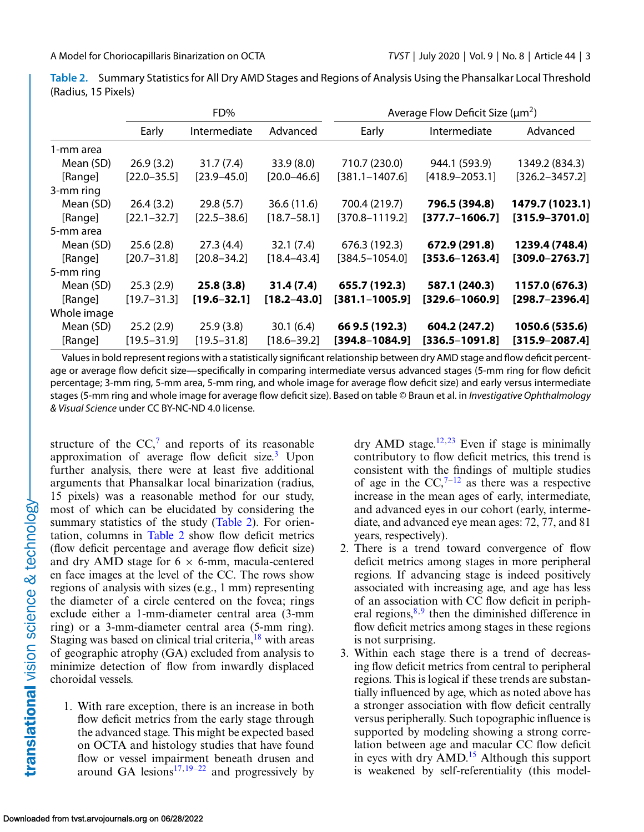|             | FD%             |                 |                 | Average Flow Deficit Size ( $\mu$ m <sup>2</sup> ) |                    |                    |
|-------------|-----------------|-----------------|-----------------|----------------------------------------------------|--------------------|--------------------|
|             | Early           | Intermediate    | Advanced        | Early                                              | Intermediate       | Advanced           |
| 1-mm area   |                 |                 |                 |                                                    |                    |                    |
| Mean (SD)   | 26.9(3.2)       | 31.7(7.4)       | 33.9(8.0)       | 710.7 (230.0)                                      | 944.1 (593.9)      | 1349.2 (834.3)     |
| [Range]     | $[22.0 - 35.5]$ | $[23.9 - 45.0]$ | $[20.0 - 46.6]$ | $[381.1 - 1407.6]$                                 | $[418.9 - 2053.1]$ | $[326.2 - 3457.2]$ |
| 3-mm ring   |                 |                 |                 |                                                    |                    |                    |
| Mean (SD)   | 26.4(3.2)       | 29.8(5.7)       | 36.6(11.6)      | 700.4 (219.7)                                      | 796.5 (394.8)      | 1479.7 (1023.1)    |
| [Range]     | $[22.1 - 32.7]$ | $[22.5 - 38.6]$ | $[18.7 - 58.1]$ | $[370.8 - 1119.2]$                                 | $[377.7 - 1606.7]$ | $[315.9 - 3701.0]$ |
| 5-mm area   |                 |                 |                 |                                                    |                    |                    |
| Mean (SD)   | 25.6(2.8)       | 27.3(4.4)       | 32.1(7.4)       | 676.3 (192.3)                                      | 672.9 (291.8)      | 1239.4 (748.4)     |
| [Range]     | $[20.7 - 31.8]$ | $[20.8 - 34.2]$ | $[18.4 - 43.4]$ | $[384.5 - 1054.0]$                                 | $[353.6 - 1263.4]$ | $[309.0 - 2763.7]$ |
| 5-mm ring   |                 |                 |                 |                                                    |                    |                    |
| Mean (SD)   | 25.3(2.9)       | 25.8(3.8)       | 31.4(7.4)       | 655.7 (192.3)                                      | 587.1 (240.3)      | 1157.0 (676.3)     |
| [Range]     | $[19.7 - 31.3]$ | $[19.6 - 32.1]$ | $[18.2 - 43.0]$ | $[381.1 - 1005.9]$                                 | $[329.6 - 1060.9]$ | $[298.7 - 2396.4]$ |
| Whole image |                 |                 |                 |                                                    |                    |                    |
| Mean (SD)   | 25.2(2.9)       | 25.9(3.8)       | 30.1(6.4)       | 66 9.5 (192.3)                                     | 604.2 (247.2)      | 1050.6 (535.6)     |
| [Range]     | $[19.5 - 31.9]$ | $[19.5 - 31.8]$ | $[18.6 - 39.2]$ | $[394.8 - 1084.9]$                                 | $[336.5 - 1091.8]$ | $[315.9 - 2087.4]$ |

<span id="page-2-0"></span>**Table 2.** Summary Statistics for All Dry AMD Stages and Regions of Analysis Using the Phansalkar Local Threshold (Radius, 15 Pixels)

Values in bold represent regions with a statistically significant relationship between dry AMD stage and flow deficit percentage or average flow deficit size—specifically in comparing intermediate versus advanced stages (5-mm ring for flow deficit percentage; 3-mm ring, 5-mm area, 5-mm ring, and whole image for average flow deficit size) and early versus intermediate stages (5-mm ring and whole image for average flow deficit size). Based on table © Braun et al. in *Investigative Ophthalmology & Visual Science* under CC BY-NC-ND 4.0 license.

structure of the  $CC<sub>1</sub><sup>7</sup>$  $CC<sub>1</sub><sup>7</sup>$  $CC<sub>1</sub><sup>7</sup>$  and reports of its reasonable approximation of average flow deficit size. $3$  Upon further analysis, there were at least five additional arguments that Phansalkar local binarization (radius, 15 pixels) was a reasonable method for our study, most of which can be elucidated by considering the summary statistics of the study (Table 2). For orientation, columns in Table 2 show flow deficit metrics (flow deficit percentage and average flow deficit size) and dry AMD stage for  $6 \times 6$ -mm, macula-centered en face images at the level of the CC. The rows show regions of analysis with sizes (e.g., 1 mm) representing the diameter of a circle centered on the fovea; rings exclude either a 1-mm-diameter central area (3-mm ring) or a 3-mm-diameter central area (5-mm ring). Staging was based on clinical trial criteria, $18$  with areas of geographic atrophy (GA) excluded from analysis to minimize detection of flow from inwardly displaced choroidal vessels.

1. With rare exception, there is an increase in both flow deficit metrics from the early stage through the advanced stage. This might be expected based on OCTA and histology studies that have found flow or vessel impairment beneath drusen and around GA lesions<sup>[17,19–22](#page-5-0)</sup> and progressively by dry AMD stage.<sup>[12,](#page-5-0)[23](#page-6-0)</sup> Even if stage is minimally contributory to flow deficit metrics, this trend is consistent with the findings of multiple studies of age in the  $CC<sub>1</sub><sup>7–12</sup>$  $CC<sub>1</sub><sup>7–12</sup>$  $CC<sub>1</sub><sup>7–12</sup>$  as there was a respective increase in the mean ages of early, intermediate, and advanced eyes in our cohort (early, intermediate, and advanced eye mean ages: 72, 77, and 81 years, respectively).

- 2. There is a trend toward convergence of flow deficit metrics among stages in more peripheral regions. If advancing stage is indeed positively associated with increasing age, and age has less of an association with CC flow deficit in peripheral regions,  $8.9$  then the diminished difference in flow deficit metrics among stages in these regions is not surprising.
- 3. Within each stage there is a trend of decreasing flow deficit metrics from central to peripheral regions. This is logical if these trends are substantially influenced by age, which as noted above has a stronger association with flow deficit centrally versus peripherally. Such topographic influence is supported by modeling showing a strong correlation between age and macular CC flow deficit in eyes with dry AMD.<sup>[15](#page-5-0)</sup> Although this support is weakened by self-referentiality (this model-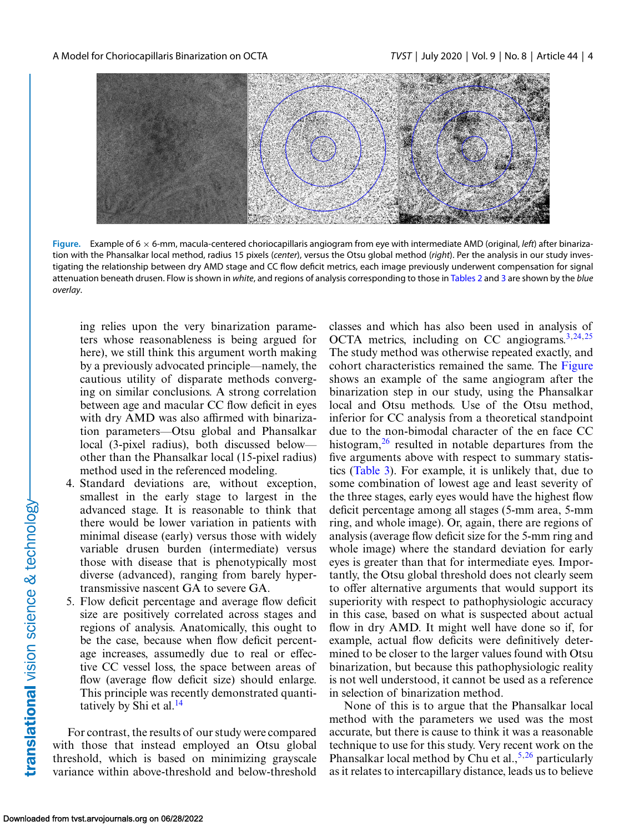

**Figure.** Example of 6 <sup>×</sup> 6-mm, macula-centered choriocapillaris angiogram from eye with intermediate AMD (original, *left*) after binarization with the Phansalkar local method, radius 15 pixels (*center*), versus the Otsu global method (*right*). Per the analysis in our study investigating the relationship between dry AMD stage and CC flow deficit metrics, each image previously underwent compensation for signal attenuation beneath drusen. Flow is shown in *white*, and regions of analysis corresponding to those in [Tables 2](#page-2-0) and [3](#page-4-0) are shown by the *blue overlay*.

ing relies upon the very binarization parameters whose reasonableness is being argued for here), we still think this argument worth making by a previously advocated principle—namely, the cautious utility of disparate methods converging on similar conclusions. A strong correlation between age and macular CC flow deficit in eyes with dry AMD was also affirmed with binarization parameters—Otsu global and Phansalkar local (3-pixel radius), both discussed below other than the Phansalkar local (15-pixel radius) method used in the referenced modeling.

- 4. Standard deviations are, without exception, smallest in the early stage to largest in the advanced stage. It is reasonable to think that there would be lower variation in patients with minimal disease (early) versus those with widely variable drusen burden (intermediate) versus those with disease that is phenotypically most diverse (advanced), ranging from barely hypertransmissive nascent GA to severe GA.
- 5. Flow deficit percentage and average flow deficit size are positively correlated across stages and regions of analysis. Anatomically, this ought to be the case, because when flow deficit percentage increases, assumedly due to real or effective CC vessel loss, the space between areas of flow (average flow deficit size) should enlarge. This principle was recently demonstrated quantitatively by Shi et al. $^{14}$  $^{14}$  $^{14}$

For contrast, the results of our study were compared with those that instead employed an Otsu global threshold, which is based on minimizing grayscale variance within above-threshold and below-threshold

classes and which has also been used in analysis of OCTA metrics, including on CC angiograms.<sup>[3,](#page-5-0)[24,25](#page-6-0)</sup> The study method was otherwise repeated exactly, and cohort characteristics remained the same. The Figure shows an example of the same angiogram after the binarization step in our study, using the Phansalkar local and Otsu methods. Use of the Otsu method, inferior for CC analysis from a theoretical standpoint due to the non-bimodal character of the en face CC histogram, $26$  resulted in notable departures from the five arguments above with respect to summary statistics [\(Table 3\)](#page-4-0). For example, it is unlikely that, due to some combination of lowest age and least severity of the three stages, early eyes would have the highest flow deficit percentage among all stages (5-mm area, 5-mm ring, and whole image). Or, again, there are regions of analysis (average flow deficit size for the 5-mm ring and whole image) where the standard deviation for early eyes is greater than that for intermediate eyes. Importantly, the Otsu global threshold does not clearly seem to offer alternative arguments that would support its superiority with respect to pathophysiologic accuracy in this case, based on what is suspected about actual flow in dry AMD. It might well have done so if, for example, actual flow deficits were definitively determined to be closer to the larger values found with Otsu binarization, but because this pathophysiologic reality is not well understood, it cannot be used as a reference in selection of binarization method.

None of this is to argue that the Phansalkar local method with the parameters we used was the most accurate, but there is cause to think it was a reasonable technique to use for this study. Very recent work on the Phansalkar local method by Chu et al.,  $5,26$  $5,26$  particularly as it relates to intercapillary distance, leads us to believe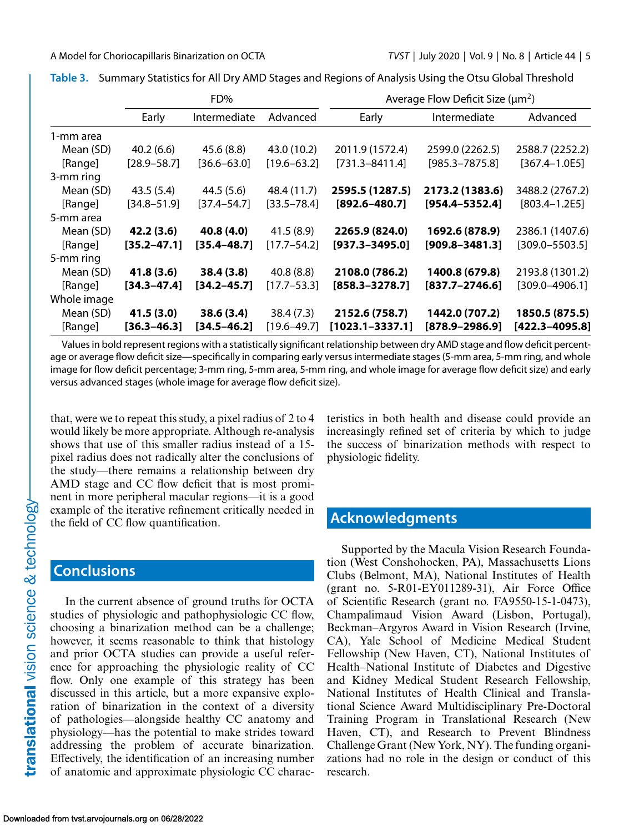|             | FD%             |                 |                 | Average Flow Deficit Size ( $\mu$ m <sup>2</sup> ) |                    |                    |
|-------------|-----------------|-----------------|-----------------|----------------------------------------------------|--------------------|--------------------|
|             | Early           | Intermediate    | Advanced        | Early                                              | Intermediate       | Advanced           |
| 1-mm area   |                 |                 |                 |                                                    |                    |                    |
| Mean (SD)   | 40.2(6.6)       | 45.6(8.8)       | 43.0 (10.2)     | 2011.9 (1572.4)                                    | 2599.0 (2262.5)    | 2588.7 (2252.2)    |
| [Range]     | $[28.9 - 58.7]$ | $[36.6 - 63.0]$ | $[19.6 - 63.2]$ | $[731.3 - 8411.4]$                                 | $[985.3 - 7875.8]$ | $[367.4 - 1.0E5]$  |
| 3-mm ring   |                 |                 |                 |                                                    |                    |                    |
| Mean (SD)   | 43.5(5.4)       | 44.5(5.6)       | 48.4 (11.7)     | 2595.5 (1287.5)                                    | 2173.2 (1383.6)    | 3488.2 (2767.2)    |
| [Range]     | $[34.8 - 51.9]$ | $[37.4 - 54.7]$ | $[33.5 - 78.4]$ | $[892.6 - 480.7]$                                  | $[954.4 - 5352.4]$ | $[803.4 - 1.2E5]$  |
| 5-mm area   |                 |                 |                 |                                                    |                    |                    |
| Mean (SD)   | 42.2 (3.6)      | 40.8(4.0)       | 41.5(8.9)       | 2265.9 (824.0)                                     | 1692.6 (878.9)     | 2386.1 (1407.6)    |
| [Range]     | $[35.2 - 47.1]$ | $[35.4 - 48.7]$ | $[17.7 - 54.2]$ | $[937.3 - 3495.0]$                                 | $[909.8 - 3481.3]$ | $[309.0 - 5503.5]$ |
| 5-mm ring   |                 |                 |                 |                                                    |                    |                    |
| Mean (SD)   | 41.8(3.6)       | 38.4 (3.8)      | 40.8(8.8)       | 2108.0 (786.2)                                     | 1400.8 (679.8)     | 2193.8 (1301.2)    |
| [Range]     | $[34.3 - 47.4]$ | $[34.2 - 45.7]$ | $[17.7 - 53.3]$ | $[858.3 - 3278.7]$                                 | $[837.7 - 2746.6]$ | $[309.0 - 4906.1]$ |
| Whole image |                 |                 |                 |                                                    |                    |                    |
| Mean (SD)   | 41.5(3.0)       | 38.6(3.4)       | 38.4(7.3)       | 2152.6 (758.7)                                     | 1442.0 (707.2)     | 1850.5 (875.5)     |
| [Range]     | $[36.3 - 46.3]$ | $[34.5 - 46.2]$ | [19.6–49.7]     | $[1023.1 - 3337.1]$                                | $[878.9 - 2986.9]$ | $[422.3 - 4095.8]$ |

<span id="page-4-0"></span>**Table 3.** Summary Statistics for All Dry AMD Stages and Regions of Analysis Using the Otsu Global Threshold

Values in bold represent regions with a statistically significant relationship between dry AMD stage and flow deficit percentage or average flow deficit size—specifically in comparing early versus intermediate stages (5-mm area, 5-mm ring, and whole image for flow deficit percentage; 3-mm ring, 5-mm area, 5-mm ring, and whole image for average flow deficit size) and early versus advanced stages (whole image for average flow deficit size).

that, were we to repeat this study, a pixel radius of 2 to 4 would likely be more appropriate. Although re-analysis shows that use of this smaller radius instead of a 15 pixel radius does not radically alter the conclusions of the study—there remains a relationship between dry AMD stage and CC flow deficit that is most prominent in more peripheral macular regions—it is a good example of the iterative refinement critically needed in the field of CC flow quantification.

### **Conclusions**

In the current absence of ground truths for OCTA studies of physiologic and pathophysiologic CC flow, choosing a binarization method can be a challenge; however, it seems reasonable to think that histology and prior OCTA studies can provide a useful reference for approaching the physiologic reality of CC flow. Only one example of this strategy has been discussed in this article, but a more expansive exploration of binarization in the context of a diversity of pathologies—alongside healthy CC anatomy and physiology—has the potential to make strides toward addressing the problem of accurate binarization. Effectively, the identification of an increasing number of anatomic and approximate physiologic CC charac-

teristics in both health and disease could provide an increasingly refined set of criteria by which to judge the success of binarization methods with respect to physiologic fidelity.

## **Acknowledgments**

Supported by the Macula Vision Research Foundation (West Conshohocken, PA), Massachusetts Lions Clubs (Belmont, MA), National Institutes of Health (grant no. 5-R01-EY011289-31), Air Force Office of Scientific Research (grant no. FA9550-15-1-0473), Champalimaud Vision Award (Lisbon, Portugal), Beckman–Argyros Award in Vision Research (Irvine, CA), Yale School of Medicine Medical Student Fellowship (New Haven, CT), National Institutes of Health–National Institute of Diabetes and Digestive and Kidney Medical Student Research Fellowship, National Institutes of Health Clinical and Translational Science Award Multidisciplinary Pre-Doctoral Training Program in Translational Research (New Haven, CT), and Research to Prevent Blindness Challenge Grant (New York, NY). The funding organizations had no role in the design or conduct of this research.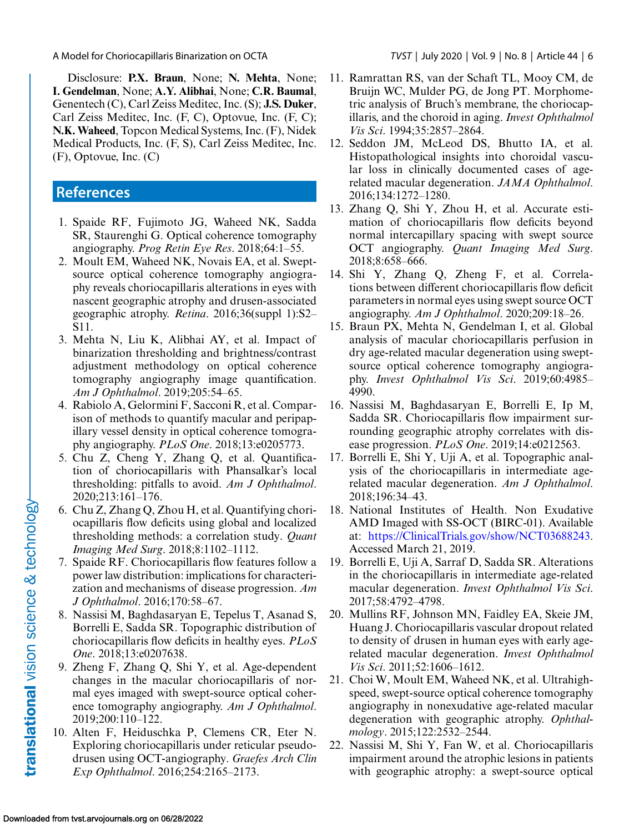<span id="page-5-0"></span>A Model for Choriocapillaris Binarization on OCTA *TVST* | July 2020 | Vol. 9 | No. 8 | Article 44 | 6

Disclosure: **P.X. Braun**, None; **N. Mehta**, None; **I. Gendelman**, None; **A.Y. Alibhai**, None; **C.R. Baumal**, Genentech (C), Carl Zeiss Meditec, Inc. (S); **J.S. Duker**, Carl Zeiss Meditec, Inc. (F, C), Optovue, Inc. (F, C); **N.K. Waheed**, Topcon Medical Systems, Inc. (F), Nidek Medical Products, Inc. (F, S), Carl Zeiss Meditec, Inc. (F), Optovue, Inc. (C)

### **References**

- 1. Spaide RF, Fujimoto JG, Waheed NK, Sadda SR, Staurenghi G. Optical coherence tomography angiography. *Prog Retin Eye Res*. 2018;64:1–55.
- 2. Moult EM, Waheed NK, Novais EA, et al. Sweptsource optical coherence tomography angiography reveals choriocapillaris alterations in eyes with nascent geographic atrophy and drusen-associated geographic atrophy. *Retina*. 2016;36(suppl 1):S2– S11.
- 3. Mehta N, Liu K, Alibhai AY, et al. Impact of binarization thresholding and brightness/contrast adjustment methodology on optical coherence tomography angiography image quantification. *Am J Ophthalmol*. 2019;205:54–65.
- 4. Rabiolo A, Gelormini F, Sacconi R, et al. Comparison of methods to quantify macular and peripapillary vessel density in optical coherence tomography angiography. *PLoS One*. 2018;13:e0205773.
- 5. Chu Z, Cheng Y, Zhang Q, et al. Quantification of choriocapillaris with Phansalkar's local thresholding: pitfalls to avoid. *Am J Ophthalmol*. 2020;213:161–176.
- 6. Chu Z, Zhang Q, Zhou H, et al. Quantifying choriocapillaris flow deficits using global and localized thresholding methods: a correlation study. *Quant Imaging Med Surg*. 2018;8:1102–1112.
- 7. Spaide RF. Choriocapillaris flow features follow a power law distribution: implications for characterization and mechanisms of disease progression. *Am J Ophthalmol*. 2016;170:58–67.
- 8. Nassisi M, Baghdasaryan E, Tepelus T, Asanad S, Borrelli E, Sadda SR. Topographic distribution of choriocapillaris flow deficits in healthy eyes. *PLoS One*. 2018;13:e0207638.
- 9. Zheng F, Zhang Q, Shi Y, et al. Age-dependent changes in the macular choriocapillaris of normal eyes imaged with swept-source optical coherence tomography angiography. *Am J Ophthalmol*. 2019;200:110–122.
- 10. Alten F, Heiduschka P, Clemens CR, Eter N. Exploring choriocapillaris under reticular pseudodrusen using OCT-angiography. *Graefes Arch Clin Exp Ophthalmol*. 2016;254:2165–2173.
- 11. Ramrattan RS, van der Schaft TL, Mooy CM, de Bruijn WC, Mulder PG, de Jong PT. Morphometric analysis of Bruch's membrane, the choriocapillaris, and the choroid in aging. *Invest Ophthalmol Vis Sci*. 1994;35:2857–2864.
- 12. Seddon JM, McLeod DS, Bhutto IA, et al. Histopathological insights into choroidal vascular loss in clinically documented cases of agerelated macular degeneration. *JAMA Ophthalmol*. 2016;134:1272–1280.
- 13. Zhang Q, Shi Y, Zhou H, et al. Accurate estimation of choriocapillaris flow deficits beyond normal intercapillary spacing with swept source OCT angiography. *Quant Imaging Med Surg*. 2018;8:658–666.
- 14. Shi Y, Zhang Q, Zheng F, et al. Correlations between different choriocapillaris flow deficit parameters in normal eyes using swept source OCT angiography. *Am J Ophthalmol*. 2020;209:18–26.
- 15. Braun PX, Mehta N, Gendelman I, et al. Global analysis of macular choriocapillaris perfusion in dry age-related macular degeneration using sweptsource optical coherence tomography angiography. *Invest Ophthalmol Vis Sci*. 2019;60:4985– 4990.
- 16. Nassisi M, Baghdasaryan E, Borrelli E, Ip M, Sadda SR. Choriocapillaris flow impairment surrounding geographic atrophy correlates with disease progression. *PLoS One*. 2019;14:e0212563.
- 17. Borrelli E, Shi Y, Uji A, et al. Topographic analysis of the choriocapillaris in intermediate agerelated macular degeneration. *Am J Ophthalmol*. 2018;196:34–43.
- 18. National Institutes of Health. Non Exudative AMD Imaged with SS-OCT (BIRC-01). Available at: [https://ClinicalTrials.gov/show/NCT03688243.](https://ClinicalTrials.gov/show/NCT03688243) Accessed March 21, 2019.
- 19. Borrelli E, Uji A, Sarraf D, Sadda SR. Alterations in the choriocapillaris in intermediate age-related macular degeneration. *Invest Ophthalmol Vis Sci*. 2017;58:4792–4798.
- 20. Mullins RF, Johnson MN, Faidley EA, Skeie JM, Huang J. Choriocapillaris vascular dropout related to density of drusen in human eyes with early agerelated macular degeneration. *Invest Ophthalmol Vis Sci*. 2011;52:1606–1612.
- 21. Choi W, Moult EM, Waheed NK, et al. Ultrahighspeed, swept-source optical coherence tomography angiography in nonexudative age-related macular degeneration with geographic atrophy. *Ophthalmology*. 2015;122:2532–2544.
- 22. Nassisi M, Shi Y, Fan W, et al. Choriocapillaris impairment around the atrophic lesions in patients with geographic atrophy: a swept-source optical

translational vision science & technology-